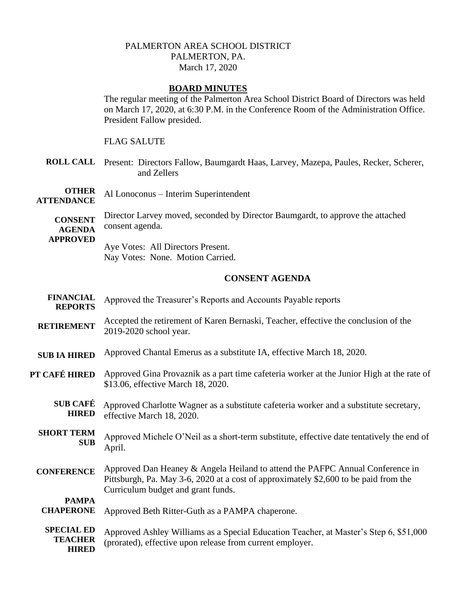## PALMERTON AREA SCHOOL DISTRICT PALMERTON, PA. March 17, 2020

## **BOARD MINUTES**

The regular meeting of the Palmerton Area School District Board of Directors was held on March 17, 2020, at 6:30 P.M. in the Conference Room of the Administration Office. President Fallow presided.

#### FLAG SALUTE

**ROLL CALL** Present: Directors Fallow, Baumgardt Haas, Larvey, Mazepa, Paules, Recker, Scherer, and Zellers

**OTHER ATTENDANCE** Al Lonoconus – Interim Superintendent

**CONSENT AGENDA**  Director Larvey moved, seconded by Director Baumgardt, to approve the attached consent agenda.

**APPROVED**

Aye Votes: All Directors Present. Nay Votes: None. Motion Carried.

# **CONSENT AGENDA**

| <b>FINANCIAL</b><br><b>REPORTS</b>                  | Approved the Treasurer's Reports and Accounts Payable reports                                                                                                                                               |
|-----------------------------------------------------|-------------------------------------------------------------------------------------------------------------------------------------------------------------------------------------------------------------|
| <b>RETIREMENT</b>                                   | Accepted the retirement of Karen Bernaski, Teacher, effective the conclusion of the<br>2019-2020 school year.                                                                                               |
| <b>SUB IA HIRED</b>                                 | Approved Chantal Emerus as a substitute IA, effective March 18, 2020.                                                                                                                                       |
| PT CAFÉ HIRED                                       | Approved Gina Provaznik as a part time cafeteria worker at the Junior High at the rate of<br>\$13.06, effective March 18, 2020.                                                                             |
| <b>SUB CAFÉ</b><br><b>HIRED</b>                     | Approved Charlotte Wagner as a substitute cafeteria worker and a substitute secretary,<br>effective March 18, 2020.                                                                                         |
| <b>SHORT TERM</b><br><b>SUB</b>                     | Approved Michele O'Neil as a short-term substitute, effective date tentatively the end of<br>April.                                                                                                         |
| <b>CONFERENCE</b>                                   | Approved Dan Heaney & Angela Heiland to attend the PAFPC Annual Conference in<br>Pittsburgh, Pa. May 3-6, 2020 at a cost of approximately \$2,600 to be paid from the<br>Curriculum budget and grant funds. |
| <b>PAMPA</b><br><b>CHAPERONE</b>                    | Approved Beth Ritter-Guth as a PAMPA chaperone.                                                                                                                                                             |
| <b>SPECIAL ED</b><br><b>TEACHER</b><br><b>HIRED</b> | Approved Ashley Williams as a Special Education Teacher, at Master's Step 6, \$51,000<br>(prorated), effective upon release from current employer.                                                          |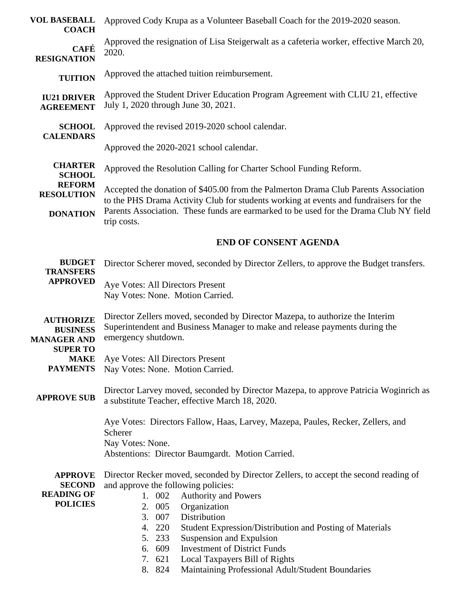| <b>VOL BASEBALL</b><br><b>COACH</b>                                          | Approved Cody Krupa as a Volunteer Baseball Coach for the 2019-2020 season.                                                                                                                                                                                                                                                                                                                                                       |
|------------------------------------------------------------------------------|-----------------------------------------------------------------------------------------------------------------------------------------------------------------------------------------------------------------------------------------------------------------------------------------------------------------------------------------------------------------------------------------------------------------------------------|
| <b>CAFÉ</b><br><b>RESIGNATION</b>                                            | Approved the resignation of Lisa Steigerwalt as a cafeteria worker, effective March 20,<br>2020.                                                                                                                                                                                                                                                                                                                                  |
| <b>TUITION</b>                                                               | Approved the attached tuition reimbursement.                                                                                                                                                                                                                                                                                                                                                                                      |
| <b>IU21 DRIVER</b><br><b>AGREEMENT</b>                                       | Approved the Student Driver Education Program Agreement with CLIU 21, effective<br>July 1, 2020 through June 30, 2021.                                                                                                                                                                                                                                                                                                            |
| <b>SCHOOL</b><br><b>CALENDARS</b>                                            | Approved the revised 2019-2020 school calendar.                                                                                                                                                                                                                                                                                                                                                                                   |
|                                                                              | Approved the 2020-2021 school calendar.                                                                                                                                                                                                                                                                                                                                                                                           |
| <b>CHARTER</b><br><b>SCHOOL</b>                                              | Approved the Resolution Calling for Charter School Funding Reform.                                                                                                                                                                                                                                                                                                                                                                |
| <b>REFORM</b><br><b>RESOLUTION</b>                                           | Accepted the donation of \$405.00 from the Palmerton Drama Club Parents Association<br>to the PHS Drama Activity Club for students working at events and fundraisers for the                                                                                                                                                                                                                                                      |
| <b>DONATION</b>                                                              | Parents Association. These funds are earmarked to be used for the Drama Club NY field<br>trip costs.                                                                                                                                                                                                                                                                                                                              |
|                                                                              | <b>END OF CONSENT AGENDA</b>                                                                                                                                                                                                                                                                                                                                                                                                      |
| <b>BUDGET</b><br><b>TRANSFERS</b>                                            | Director Scherer moved, seconded by Director Zellers, to approve the Budget transfers.                                                                                                                                                                                                                                                                                                                                            |
| <b>APPROVED</b>                                                              | Aye Votes: All Directors Present<br>Nay Votes: None. Motion Carried.                                                                                                                                                                                                                                                                                                                                                              |
| <b>AUTHORIZE</b><br><b>BUSINESS</b><br><b>MANAGER AND</b><br><b>SUPER TO</b> | Director Zellers moved, seconded by Director Mazepa, to authorize the Interim<br>Superintendent and Business Manager to make and release payments during the<br>emergency shutdown.                                                                                                                                                                                                                                               |
| <b>MAKE</b><br><b>PAYMENTS</b>                                               | Aye Votes: All Directors Present<br>Nay Votes: None. Motion Carried.                                                                                                                                                                                                                                                                                                                                                              |
| <b>APPROVE SUB</b>                                                           | Director Larvey moved, seconded by Director Mazepa, to approve Patricia Woginrich as<br>a substitute Teacher, effective March 18, 2020.                                                                                                                                                                                                                                                                                           |
|                                                                              | Aye Votes: Directors Fallow, Haas, Larvey, Mazepa, Paules, Recker, Zellers, and<br>Scherer<br>Nay Votes: None.<br>Abstentions: Director Baumgardt. Motion Carried.                                                                                                                                                                                                                                                                |
| <b>APPROVE</b><br><b>SECOND</b><br><b>READING OF</b><br><b>POLICIES</b>      | Director Recker moved, seconded by Director Zellers, to accept the second reading of<br>and approve the following policies:<br>1. 002<br><b>Authority and Powers</b><br>Organization<br>2. 005<br>Distribution<br>3. 007<br>4. 220<br>Student Expression/Distribution and Posting of Materials<br>5. 233<br>Suspension and Expulsion<br><b>Investment of District Funds</b><br>6. 609<br>7. 621<br>Local Taxpayers Bill of Rights |
|                                                                              | Maintaining Professional Adult/Student Boundaries<br>8. 824                                                                                                                                                                                                                                                                                                                                                                       |